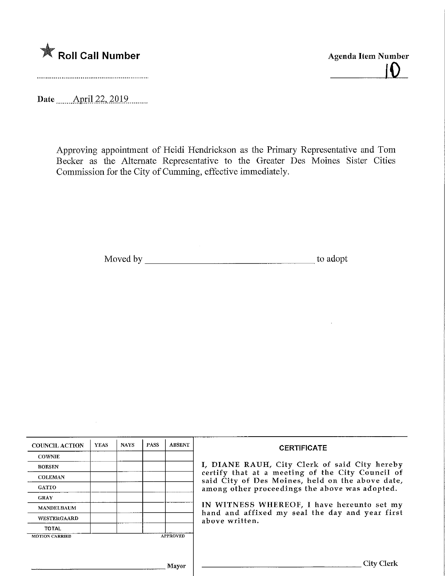

Agenda Item Number  $\bigcap$ 

Date **April 22, 2019** 

 $\sim$ 

Approving appointment of Heidi Hendrickson as the Primary Representative and Tom Becker as the Alternate Representative to the Greater Des Moines Sister Cities Commission for the City of Gumming, effective immediately.

Moved by to adopt

| <b>COUNCIL ACTION</b> | <b>YEAS</b> | <b>NAYS</b> | <b>PASS</b> | <b>ABSENT</b>   | <b>CERTIFICATE</b><br>I, DIANE RAUH, City Clerk of said City hereby<br>certify that at a meeting of the City Council of<br>said City of Des Moines, held on the above date,<br>among other proceedings the above was adopted.<br>IN WITNESS WHEREOF, I have hereunto set my<br>hand and affixed my seal the day and year first<br>above written. |
|-----------------------|-------------|-------------|-------------|-----------------|--------------------------------------------------------------------------------------------------------------------------------------------------------------------------------------------------------------------------------------------------------------------------------------------------------------------------------------------------|
| <b>COWNIE</b>         |             |             |             |                 |                                                                                                                                                                                                                                                                                                                                                  |
| <b>BOESEN</b>         |             |             |             |                 |                                                                                                                                                                                                                                                                                                                                                  |
| <b>COLEMAN</b>        |             |             |             |                 |                                                                                                                                                                                                                                                                                                                                                  |
| GATTO                 |             |             |             |                 |                                                                                                                                                                                                                                                                                                                                                  |
| <b>GRAY</b>           |             |             |             |                 |                                                                                                                                                                                                                                                                                                                                                  |
| <b>MANDELBAUM</b>     |             |             |             |                 |                                                                                                                                                                                                                                                                                                                                                  |
| WESTERGAARD           |             |             |             |                 |                                                                                                                                                                                                                                                                                                                                                  |
| <b>TOTAL</b>          |             |             |             |                 |                                                                                                                                                                                                                                                                                                                                                  |
| <b>MOTION CARRIED</b> |             |             |             | <b>APPROVED</b> |                                                                                                                                                                                                                                                                                                                                                  |
|                       |             |             |             |                 |                                                                                                                                                                                                                                                                                                                                                  |
| Mayor                 |             |             |             |                 | City Clerl                                                                                                                                                                                                                                                                                                                                       |